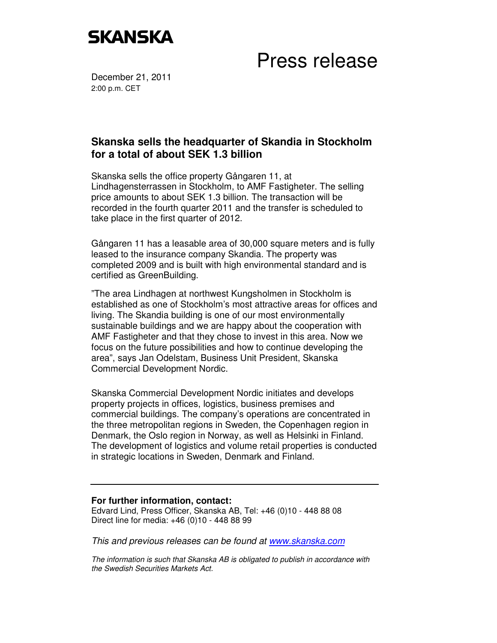

Press release

December 21, 2011 2:00 p.m. CET

## **Skanska sells the headquarter of Skandia in Stockholm for a total of about SEK 1.3 billion**

Skanska sells the office property Gångaren 11, at Lindhagensterrassen in Stockholm, to AMF Fastigheter. The selling price amounts to about SEK 1.3 billion. The transaction will be recorded in the fourth quarter 2011 and the transfer is scheduled to take place in the first quarter of 2012.

Gångaren 11 has a leasable area of 30,000 square meters and is fully leased to the insurance company Skandia. The property was completed 2009 and is built with high environmental standard and is certified as GreenBuilding.

"The area Lindhagen at northwest Kungsholmen in Stockholm is established as one of Stockholm's most attractive areas for offices and living. The Skandia building is one of our most environmentally sustainable buildings and we are happy about the cooperation with AMF Fastigheter and that they chose to invest in this area. Now we focus on the future possibilities and how to continue developing the area", says Jan Odelstam, Business Unit President, Skanska Commercial Development Nordic.

Skanska Commercial Development Nordic initiates and develops property projects in offices, logistics, business premises and commercial buildings. The company's operations are concentrated in the three metropolitan regions in Sweden, the Copenhagen region in Denmark, the Oslo region in Norway, as well as Helsinki in Finland. The development of logistics and volume retail properties is conducted in strategic locations in Sweden, Denmark and Finland.

## **For further information, contact:**

Edvard Lind, Press Officer, Skanska AB, Tel: +46 (0)10 - 448 88 08 Direct line for media: +46 (0)10 - 448 88 99

This and previous releases can be found at www.skanska.com

The information is such that Skanska AB is obligated to publish in accordance with the Swedish Securities Markets Act.